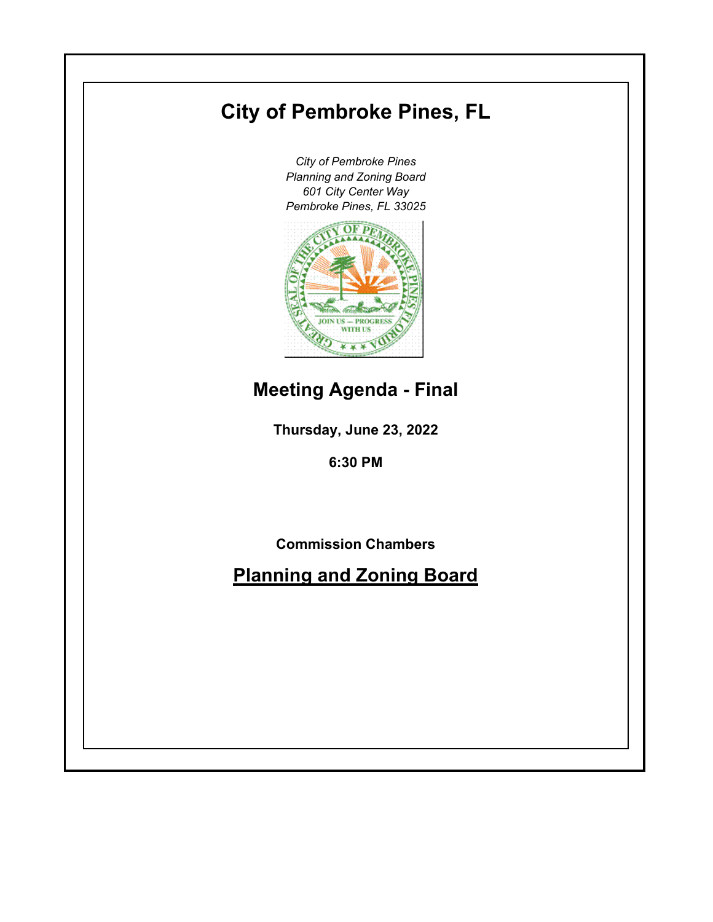# **City of Pembroke Pines, FL**

*City of Pembroke Pines Planning and Zoning Board 601 City Center Way Pembroke Pines, FL 33025*



## **Meeting Agenda - Final**

**Thursday, June 23, 2022**

**6:30 PM**

**Commission Chambers**

**Planning and Zoning Board**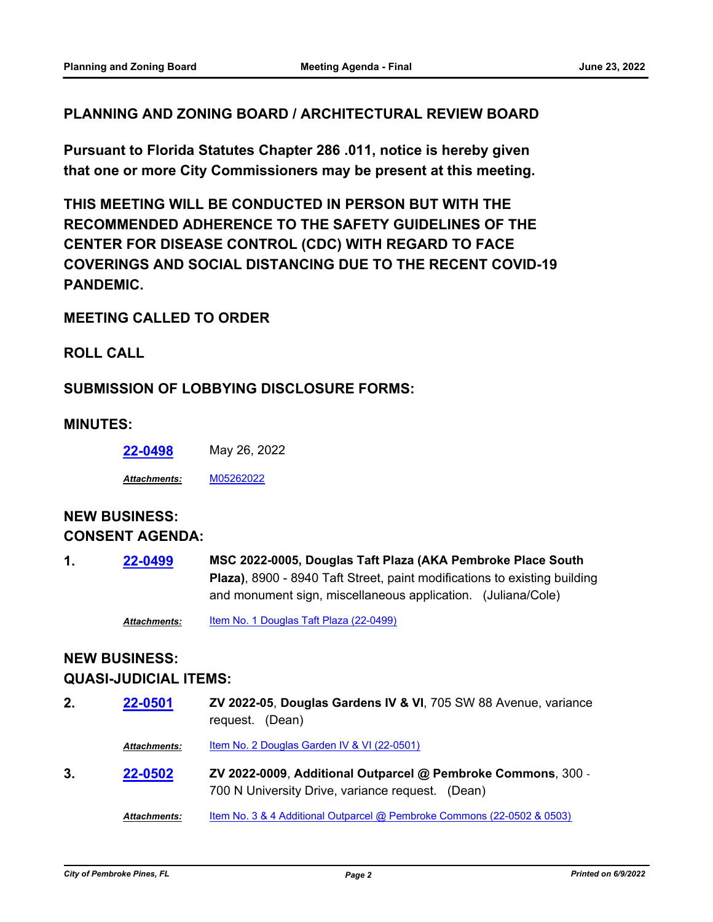#### **PLANNING AND ZONING BOARD / ARCHITECTURAL REVIEW BOARD**

**Pursuant to Florida Statutes Chapter 286 .011, notice is hereby given that one or more City Commissioners may be present at this meeting.**

**THIS MEETING WILL BE CONDUCTED IN PERSON BUT WITH THE RECOMMENDED ADHERENCE TO THE SAFETY GUIDELINES OF THE CENTER FOR DISEASE CONTROL (CDC) WITH REGARD TO FACE COVERINGS AND SOCIAL DISTANCING DUE TO THE RECENT COVID-19 PANDEMIC.**

#### **MEETING CALLED TO ORDER**

**ROLL CALL**

#### **SUBMISSION OF LOBBYING DISCLOSURE FORMS:**

#### **MINUTES:**

**[22-0498](http://ppines.legistar.com/gateway.aspx?m=l&id=/matter.aspx?key=15433)** May 26, 2022

*Attachments:* [M05262022](http://ppines.legistar.com/gateway.aspx?M=F&ID=7d24d6ef-7b05-4fd7-8ae7-445773b1eb5c.pdf)

### **NEW BUSINESS: CONSENT AGENDA:**

**MSC 2022-0005, Douglas Taft Plaza (AKA Pembroke Place South Plaza)**, 8900 - 8940 Taft Street, paint modifications to existing building and monument sign, miscellaneous application. (Juliana/Cole) **1. [22-0499](http://ppines.legistar.com/gateway.aspx?m=l&id=/matter.aspx?key=15434)**

*Attachments:* [Item No. 1 Douglas Taft Plaza \(22-0499\)](http://ppines.legistar.com/gateway.aspx?M=F&ID=d5681500-85a6-4b47-bc8f-113a81ba0c72.pdf)

## **NEW BUSINESS:**

#### **QUASI-JUDICIAL ITEMS:**

| 2. | 22-0501             | ZV 2022-05, Douglas Gardens IV & VI, 705 SW 88 Avenue, variance<br>request. (Dean)                               |
|----|---------------------|------------------------------------------------------------------------------------------------------------------|
|    | <b>Attachments:</b> | Item No. 2 Douglas Garden IV & VI (22-0501)                                                                      |
| 3. | 22-0502             | ZV 2022-0009, Additional Outparcel @ Pembroke Commons, 300 -<br>700 N University Drive, variance request. (Dean) |
|    | <b>Attachments:</b> | Item No. 3 & 4 Additional Outparcel @ Pembroke Commons (22-0502 & 0503)                                          |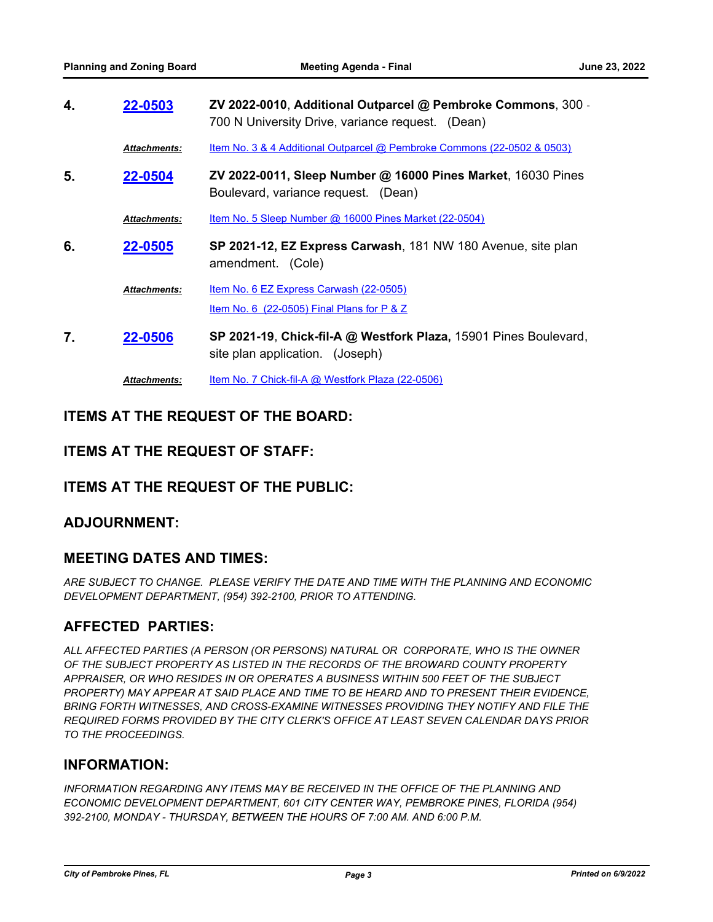| 4. | 22-0503             | ZV 2022-0010, Additional Outparcel @ Pembroke Commons, 300 -<br>700 N University Drive, variance request. (Dean) |
|----|---------------------|------------------------------------------------------------------------------------------------------------------|
|    | <b>Attachments:</b> | <u>Item No. 3 &amp; 4 Additional Outparcel @ Pembroke Commons (22-0502 &amp; 0503)</u>                           |
| 5. | 22-0504             | ZV 2022-0011, Sleep Number @ 16000 Pines Market, 16030 Pines<br>Boulevard, variance request. (Dean)              |
|    | <b>Attachments:</b> | Item No. 5 Sleep Number @ 16000 Pines Market (22-0504)                                                           |
| 6. | 22-0505             | SP 2021-12, EZ Express Carwash, 181 NW 180 Avenue, site plan<br>amendment. (Cole)                                |
|    | <b>Attachments:</b> | Item No. 6 EZ Express Carwash (22-0505)<br>Item No. 6 $(22-0505)$ Final Plans for P & Z                          |
| 7. | 22-0506             | SP 2021-19, Chick-fil-A @ Westfork Plaza, 15901 Pines Boulevard,<br>site plan application. (Joseph)              |
|    | <b>Attachments:</b> | Item No. 7 Chick-fil-A @ Westfork Plaza $(22-0506)$                                                              |

#### **ITEMS AT THE REQUEST OF THE BOARD:**

#### **ITEMS AT THE REQUEST OF STAFF:**

#### **ITEMS AT THE REQUEST OF THE PUBLIC:**

#### **ADJOURNMENT:**

#### **MEETING DATES AND TIMES:**

*ARE SUBJECT TO CHANGE. PLEASE VERIFY THE DATE AND TIME WITH THE PLANNING AND ECONOMIC DEVELOPMENT DEPARTMENT, (954) 392-2100, PRIOR TO ATTENDING.*

#### **AFFECTED PARTIES:**

*ALL AFFECTED PARTIES (A PERSON (OR PERSONS) NATURAL OR CORPORATE, WHO IS THE OWNER OF THE SUBJECT PROPERTY AS LISTED IN THE RECORDS OF THE BROWARD COUNTY PROPERTY APPRAISER, OR WHO RESIDES IN OR OPERATES A BUSINESS WITHIN 500 FEET OF THE SUBJECT PROPERTY) MAY APPEAR AT SAID PLACE AND TIME TO BE HEARD AND TO PRESENT THEIR EVIDENCE, BRING FORTH WITNESSES, AND CROSS-EXAMINE WITNESSES PROVIDING THEY NOTIFY AND FILE THE REQUIRED FORMS PROVIDED BY THE CITY CLERK'S OFFICE AT LEAST SEVEN CALENDAR DAYS PRIOR TO THE PROCEEDINGS.*

#### **INFORMATION:**

INFORMATION REGARDING ANY ITEMS MAY BE RECEIVED IN THE OFFICE OF THE PLANNING AND *ECONOMIC DEVELOPMENT DEPARTMENT, 601 CITY CENTER WAY, PEMBROKE PINES, FLORIDA (954) 392-2100, MONDAY - THURSDAY, BETWEEN THE HOURS OF 7:00 AM. AND 6:00 P.M.*